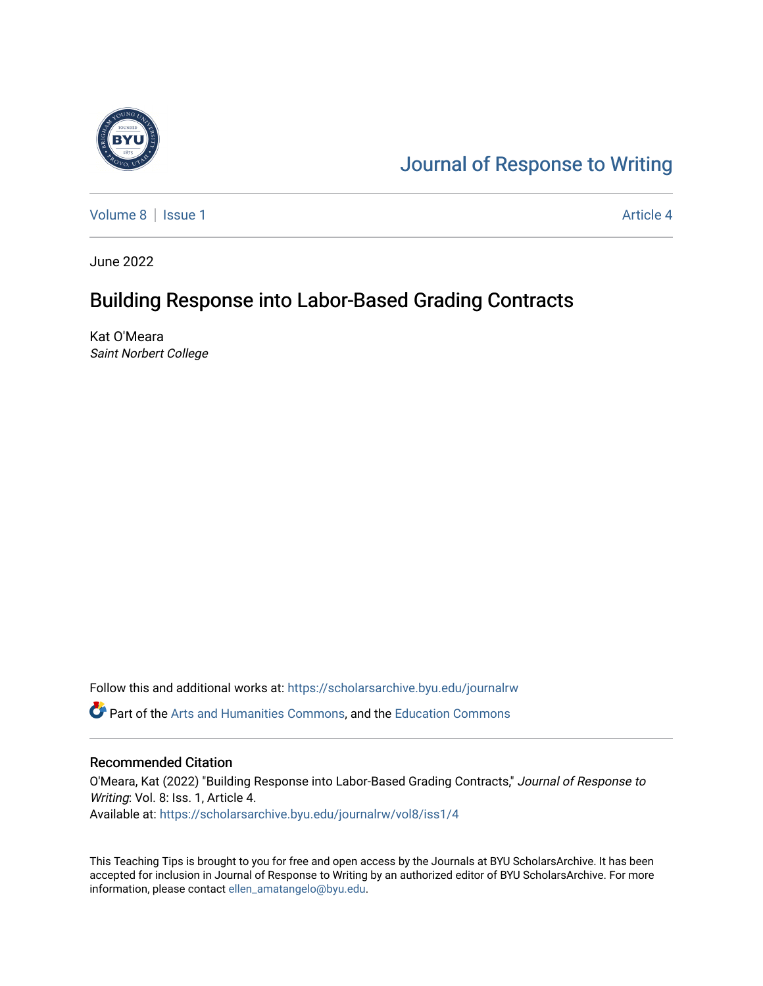

# [Journal of Response to Writing](https://scholarsarchive.byu.edu/journalrw)

[Volume 8](https://scholarsarchive.byu.edu/journalrw/vol8) | [Issue 1](https://scholarsarchive.byu.edu/journalrw/vol8/iss1) Article 4

June 2022

# Building Response into Labor-Based Grading Contracts

Kat O'Meara Saint Norbert College

Follow this and additional works at: [https://scholarsarchive.byu.edu/journalrw](https://scholarsarchive.byu.edu/journalrw?utm_source=scholarsarchive.byu.edu%2Fjournalrw%2Fvol8%2Fiss1%2F4&utm_medium=PDF&utm_campaign=PDFCoverPages)

Part of the [Arts and Humanities Commons,](https://network.bepress.com/hgg/discipline/438?utm_source=scholarsarchive.byu.edu%2Fjournalrw%2Fvol8%2Fiss1%2F4&utm_medium=PDF&utm_campaign=PDFCoverPages) and the [Education Commons](https://network.bepress.com/hgg/discipline/784?utm_source=scholarsarchive.byu.edu%2Fjournalrw%2Fvol8%2Fiss1%2F4&utm_medium=PDF&utm_campaign=PDFCoverPages) 

#### Recommended Citation

O'Meara, Kat (2022) "Building Response into Labor-Based Grading Contracts," Journal of Response to Writing: Vol. 8: Iss. 1, Article 4. Available at: [https://scholarsarchive.byu.edu/journalrw/vol8/iss1/4](https://scholarsarchive.byu.edu/journalrw/vol8/iss1/4?utm_source=scholarsarchive.byu.edu%2Fjournalrw%2Fvol8%2Fiss1%2F4&utm_medium=PDF&utm_campaign=PDFCoverPages)

This Teaching Tips is brought to you for free and open access by the Journals at BYU ScholarsArchive. It has been accepted for inclusion in Journal of Response to Writing by an authorized editor of BYU ScholarsArchive. For more information, please contact [ellen\\_amatangelo@byu.edu.](mailto:ellen_amatangelo@byu.edu)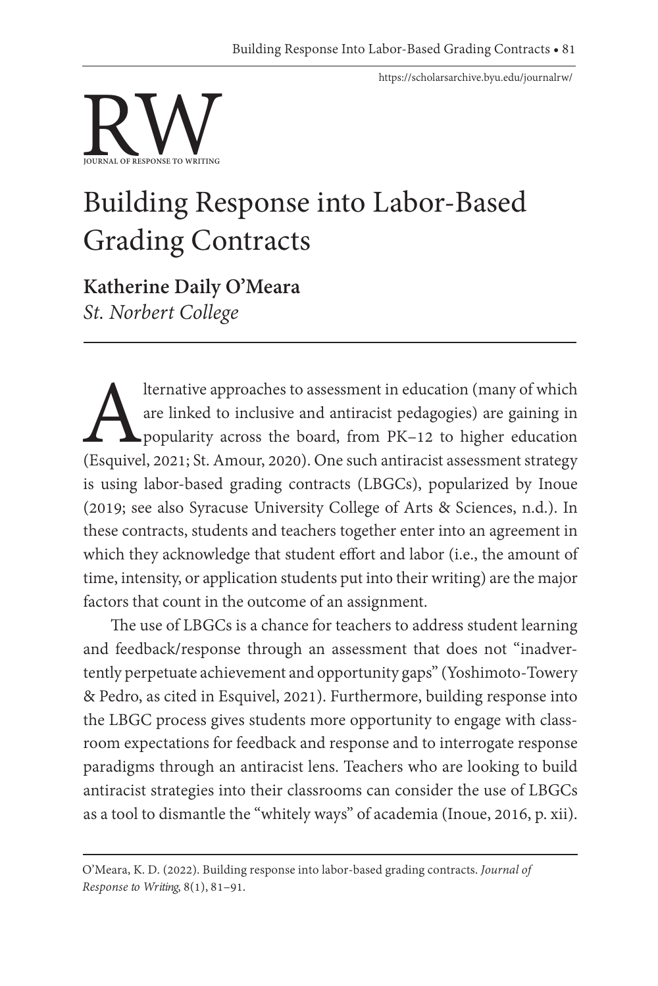<https://scholarsarchive.byu.edu/journalrw/>



# Building Response into Labor-Based Grading Contracts

**Katherine Daily O'Meara** *St. Norbert College*

Iternative approaches to assessment in education (many of which<br>are linked to inclusive and antiracist pedagogies) are gaining in<br>popularity across the board, from PK-12 to higher education<br>(Esquivel, 2021; St. Amour, 2020 are linked to inclusive and antiracist pedagogies) are gaining in popularity across the board, from PK–12 to higher education (Esquivel, 2021; St. Amour, 2020). One such antiracist assessment strategy is using labor-based grading contracts (LBGCs), popularized by Inoue (2019; see also Syracuse University College of Arts & Sciences, n.d.). In these contracts, students and teachers together enter into an agreement in which they acknowledge that student effort and labor (i.e., the amount of time, intensity, or application students put into their writing) are the major factors that count in the outcome of an assignment.

The use of LBGCs is a chance for teachers to address student learning and feedback/response through an assessment that does not "inadvertently perpetuate achievement and opportunity gaps" (Yoshimoto-Towery & Pedro, as cited in Esquivel, 2021). Furthermore, building response into the LBGC process gives students more opportunity to engage with classroom expectations for feedback and response and to interrogate response paradigms through an antiracist lens. Teachers who are looking to build antiracist strategies into their classrooms can consider the use of LBGCs as a tool to dismantle the "whitely ways" of academia (Inoue, 2016, p. xii).

O'Meara, K. D. (2022). Building response into labor-based grading contracts. *Journal of Response to Writing*, 8(1), 81–91.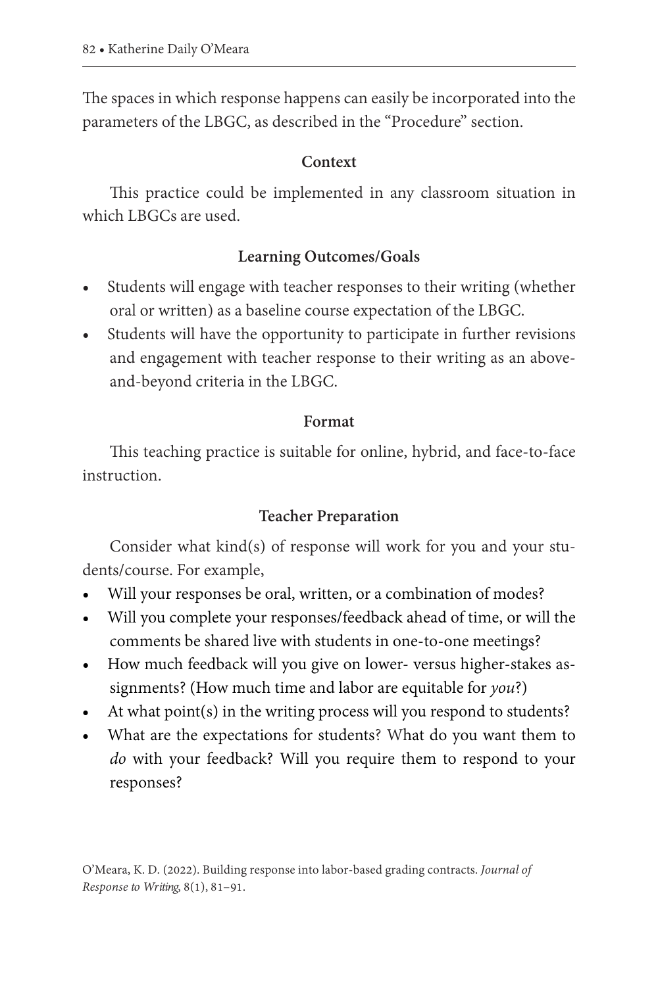The spaces in which response happens can easily be incorporated into the parameters of the LBGC, as described in the "Procedure" section.

# **Context**

This practice could be implemented in any classroom situation in which LBGCs are used.

# **Learning Outcomes/Goals**

- Students will engage with teacher responses to their writing (whether oral or written) as a baseline course expectation of the LBGC.
- Students will have the opportunity to participate in further revisions and engagement with teacher response to their writing as an aboveand-beyond criteria in the LBGC.

# **Format**

This teaching practice is suitable for online, hybrid, and face-to-face instruction.

# **Teacher Preparation**

Consider what kind(s) of response will work for you and your students/course. For example,

- Will your responses be oral, written, or a combination of modes?
- Will you complete your responses/feedback ahead of time, or will the comments be shared live with students in one-to-one meetings?
- How much feedback will you give on lower- versus higher-stakes assignments? (How much time and labor are equitable for *you*?)
- At what point(s) in the writing process will you respond to students?
- What are the expectations for students? What do you want them to *do* with your feedback? Will you require them to respond to your responses?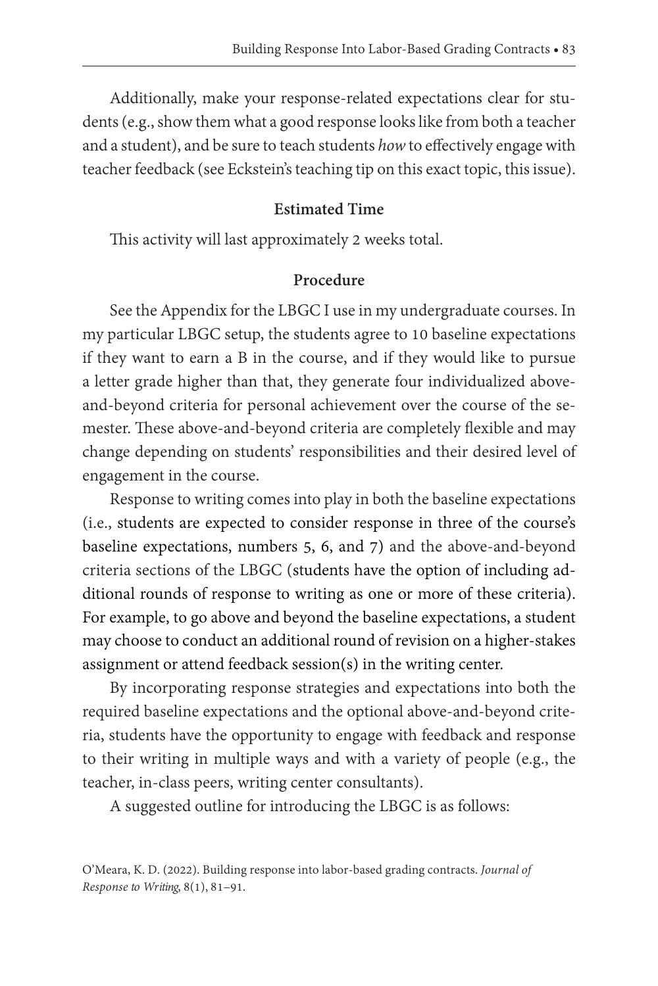Additionally, make your response-related expectations clear for students (e.g., show them what a good response looks like from both a teacher and a student), and be sure to teach students *how* to effectively engage with teacher feedback (see Eckstein's teaching tip on this exact topic, this issue).

#### **Estimated Time**

This activity will last approximately 2 weeks total.

#### **Procedure**

See the Appendix for the LBGC I use in my undergraduate courses. In my particular LBGC setup, the students agree to 10 baseline expectations if they want to earn a B in the course, and if they would like to pursue a letter grade higher than that, they generate four individualized aboveand-beyond criteria for personal achievement over the course of the semester. These above-and-beyond criteria are completely flexible and may change depending on students' responsibilities and their desired level of engagement in the course.

Response to writing comes into play in both the baseline expectations (i.e., students are expected to consider response in three of the course's baseline expectations, numbers 5, 6, and 7) and the above-and-beyond criteria sections of the LBGC (students have the option of including additional rounds of response to writing as one or more of these criteria). For example, to go above and beyond the baseline expectations, a student may choose to conduct an additional round of revision on a higher-stakes assignment or attend feedback session(s) in the writing center.

By incorporating response strategies and expectations into both the required baseline expectations and the optional above-and-beyond criteria, students have the opportunity to engage with feedback and response to their writing in multiple ways and with a variety of people (e.g., the teacher, in-class peers, writing center consultants).

A suggested outline for introducing the LBGC is as follows:

O'Meara, K. D. (2022). Building response into labor-based grading contracts. *Journal of Response to Writing*, 8(1), 81–91.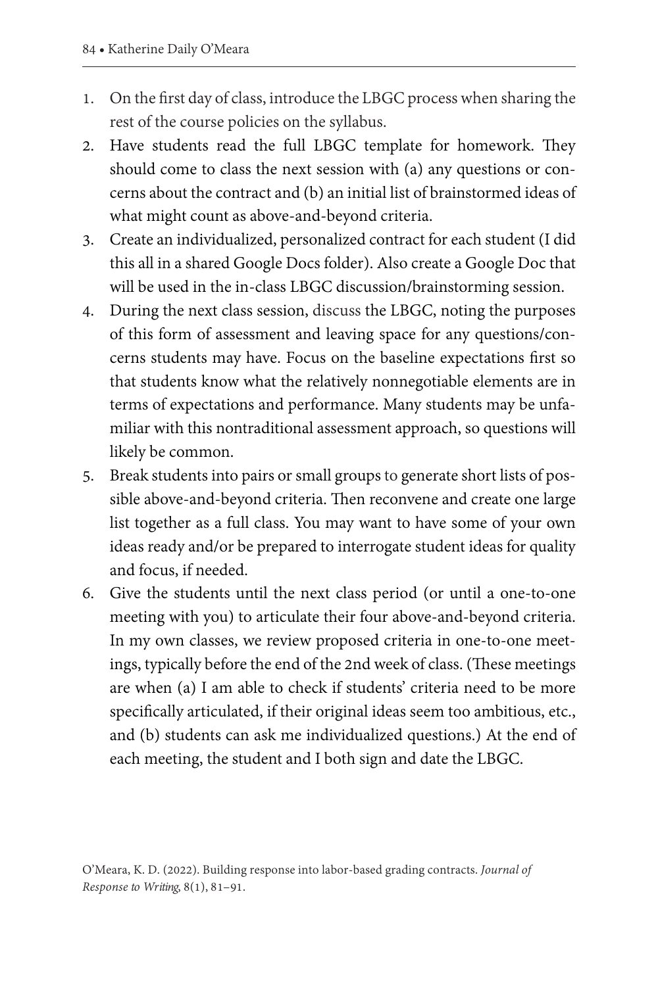- 1. On the first day of class, introduce the LBGC process when sharing the rest of the course policies on the syllabus.
- 2. Have students read the full LBGC template for homework. They should come to class the next session with (a) any questions or concerns about the contract and (b) an initial list of brainstormed ideas of what might count as above-and-beyond criteria.
- 3. Create an individualized, personalized contract for each student (I did this all in a shared Google Docs folder). Also create a Google Doc that will be used in the in-class LBGC discussion/brainstorming session.
- 4. During the next class session, discuss the LBGC, noting the purposes of this form of assessment and leaving space for any questions/concerns students may have. Focus on the baseline expectations first so that students know what the relatively nonnegotiable elements are in terms of expectations and performance. Many students may be unfamiliar with this nontraditional assessment approach, so questions will likely be common.
- 5. Break students into pairs or small groups to generate short lists of possible above-and-beyond criteria. Then reconvene and create one large list together as a full class. You may want to have some of your own ideas ready and/or be prepared to interrogate student ideas for quality and focus, if needed.
- 6. Give the students until the next class period (or until a one-to-one meeting with you) to articulate their four above-and-beyond criteria. In my own classes, we review proposed criteria in one-to-one meetings, typically before the end of the 2nd week of class. (These meetings are when (a) I am able to check if students' criteria need to be more specifically articulated, if their original ideas seem too ambitious, etc., and (b) students can ask me individualized questions.) At the end of each meeting, the student and I both sign and date the LBGC.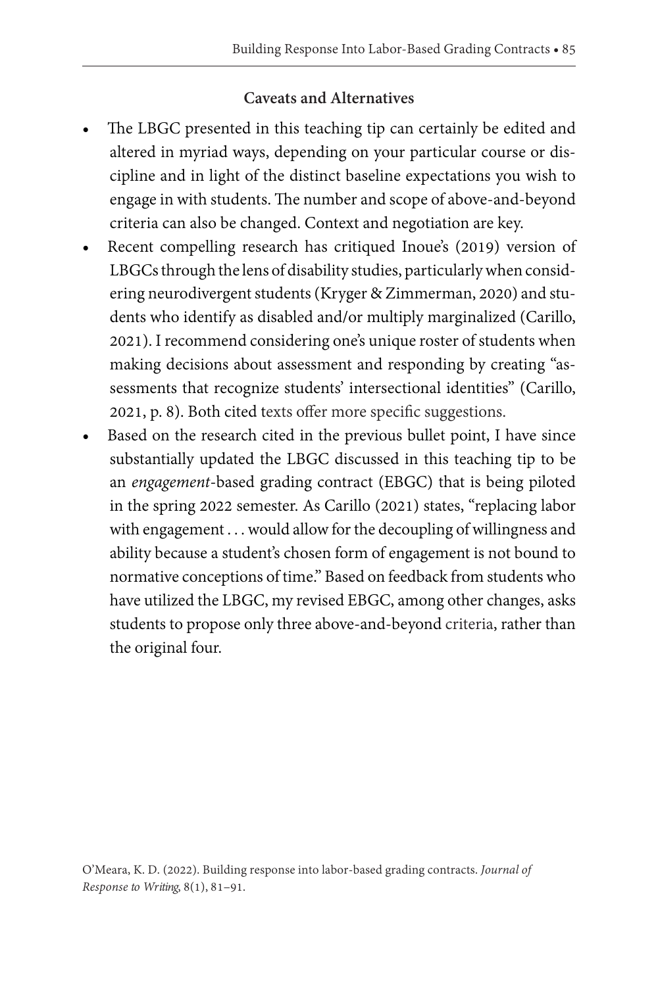# **Caveats and Alternatives**

- The LBGC presented in this teaching tip can certainly be edited and altered in myriad ways, depending on your particular course or discipline and in light of the distinct baseline expectations you wish to engage in with students. The number and scope of above-and-beyond criteria can also be changed. Context and negotiation are key.
- Recent compelling research has critiqued Inoue's (2019) version of LBGCs through the lens of disability studies, particularly when considering neurodivergent students (Kryger & Zimmerman, 2020) and students who identify as disabled and/or multiply marginalized (Carillo, 2021). I recommend considering one's unique roster of students when making decisions about assessment and responding by creating "assessments that recognize students' intersectional identities" (Carillo, 2021, p. 8). Both cited texts offer more specific suggestions.
- Based on the research cited in the previous bullet point, I have since substantially updated the LBGC discussed in this teaching tip to be an *engagement*-based grading contract (EBGC) that is being piloted in the spring 2022 semester. As Carillo (2021) states, "replacing labor with engagement . . . would allow for the decoupling of willingness and ability because a student's chosen form of engagement is not bound to normative conceptions of time." Based on feedback from students who have utilized the LBGC, my revised EBGC, among other changes, asks students to propose only three above-and-beyond criteria, rather than the original four.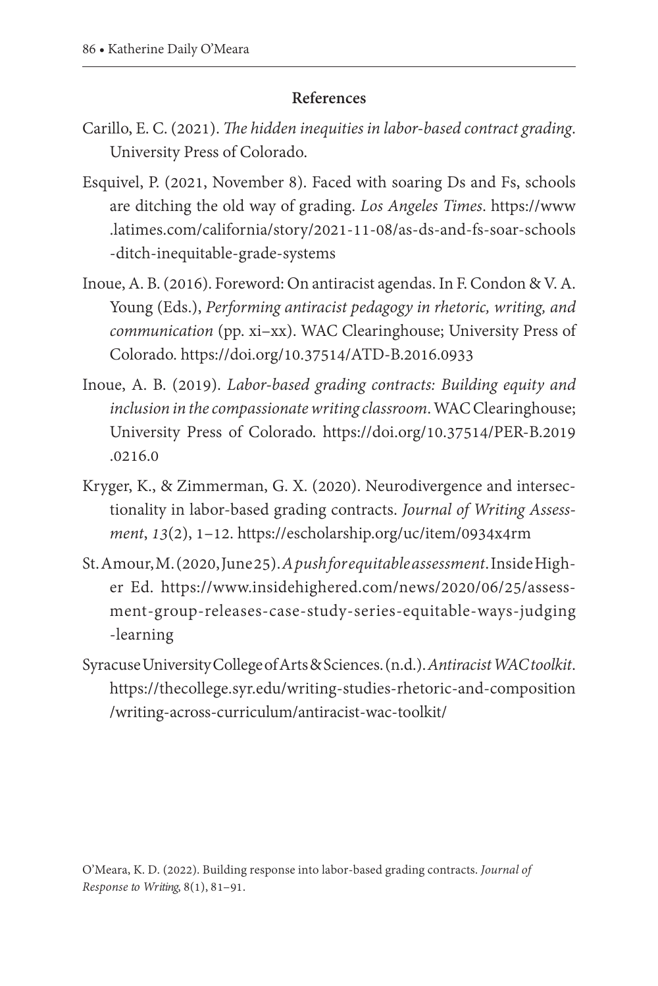#### **References**

- Carillo, E. C. (2021). *The hidden inequities in labor-based contract grading*. University Press of Colorado.
- Esquivel, P. (2021, November 8). Faced with soaring Ds and Fs, schools are ditching the old way of grading. *Los Angeles Times*. [https://www](https://www.latimes.com/california/story/2021-11-08/as-ds-and-fs-soar-schools-ditch-inequitable-grade-systems) [.latimes.com/california/story/2021-11-08/as-ds-and-fs-soar-schools](https://www.latimes.com/california/story/2021-11-08/as-ds-and-fs-soar-schools-ditch-inequitable-grade-systems) [-ditch-inequitable-grade-systems](https://www.latimes.com/california/story/2021-11-08/as-ds-and-fs-soar-schools-ditch-inequitable-grade-systems)
- Inoue, A. B. (2016). Foreword: On antiracist agendas. In F. Condon & V. A. Young (Eds.), *Performing antiracist pedagogy in rhetoric, writing, and communication* (pp. xi–xx). WAC Clearinghouse; University Press of Colorado. <https://doi.org/10.37514/ATD-B.2016.0933>
- Inoue, A. B. (2019). *Labor-based grading contracts: Building equity and inclusion in the compassionate writing classroom*. WAC Clearinghouse; University Press of Colorado. [https://doi.org/10.37514/PER-B.2019](https://doi.org/10.37514/PER-B.2019.0216.0) [.0216.0](https://doi.org/10.37514/PER-B.2019.0216.0)
- Kryger, K., & Zimmerman, G. X. (2020). Neurodivergence and intersectionality in labor-based grading contracts. *Journal of Writing Assessment*, *13*(2), 1–12. <https://escholarship.org/uc/item/0934x4rm>
- St. Amour, M. (2020, June 25). *A push for equitable assessment*.Inside Higher Ed. [https://www.insidehighered.com/news/2020/06/25/assess](https://www.insidehighered.com/news/2020/06/25/assessment-group-releases-case-study-series-equitable-ways-judging-learning)  [ment-group-releases-case-study-series-equitable-ways-judging](https://www.insidehighered.com/news/2020/06/25/assessment-group-releases-case-study-series-equitable-ways-judging-learning) [-learning](https://www.insidehighered.com/news/2020/06/25/assessment-group-releases-case-study-series-equitable-ways-judging-learning)
- Syracuse University College of Arts & Sciences.(n.d.). *Antiracist WAC toolkit*. [https://thecollege.syr.edu/writing-studies-rhetoric-and-composition](https://thecollege.syr.edu/writing-studies-rhetoric-and-composition/writing-across-curriculum/antiracist-wac-toolkit/) [/writing-across-curriculum/antiracist-wac-toolkit/](https://thecollege.syr.edu/writing-studies-rhetoric-and-composition/writing-across-curriculum/antiracist-wac-toolkit/)

O'Meara, K. D. (2022). Building response into labor-based grading contracts. *Journal of Response to Writing*, 8(1), 81–91.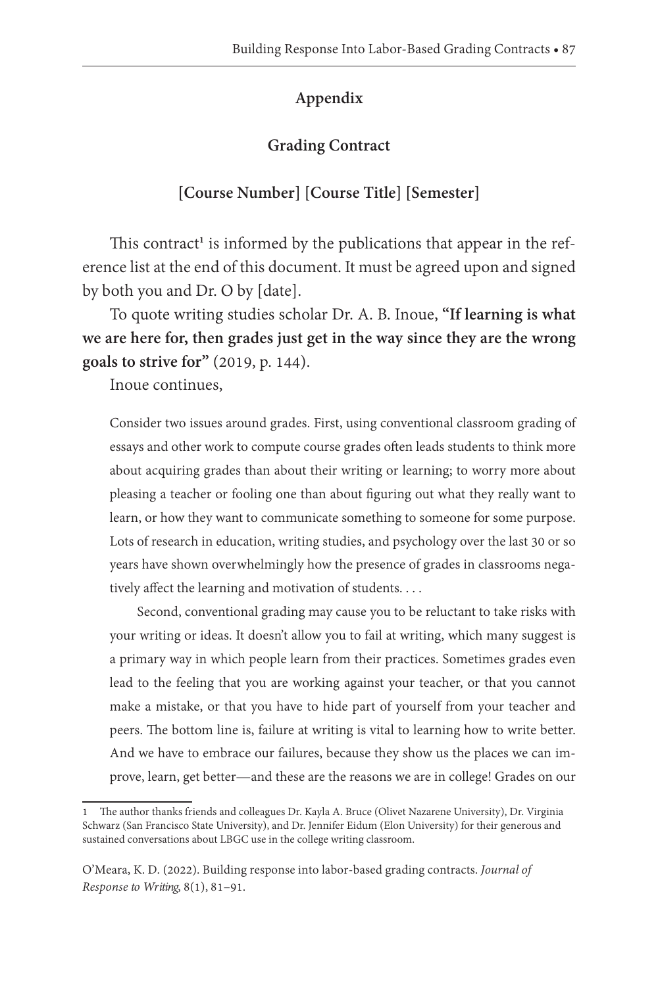## **Appendix**

## **Grading Contract**

## **[Course Number] [Course Title] [Semester]**

This contract<sup>1</sup> is informed by the publications that appear in the reference list at the end of this document. It must be agreed upon and signed by both you and Dr. O by [date].

To quote writing studies scholar Dr. A. B. Inoue, **"If learning is what we are here for, then grades just get in the way since they are the wrong goals to strive for"** (2019, p. 144).

Inoue continues,

Consider two issues around grades. First, using conventional classroom grading of essays and other work to compute course grades often leads students to think more about acquiring grades than about their writing or learning; to worry more about pleasing a teacher or fooling one than about figuring out what they really want to learn, or how they want to communicate something to someone for some purpose. Lots of research in education, writing studies, and psychology over the last 30 or so years have shown overwhelmingly how the presence of grades in classrooms negatively affect the learning and motivation of students. . . .

Second, conventional grading may cause you to be reluctant to take risks with your writing or ideas. It doesn't allow you to fail at writing, which many suggest is a primary way in which people learn from their practices. Sometimes grades even lead to the feeling that you are working against your teacher, or that you cannot make a mistake, or that you have to hide part of yourself from your teacher and peers. The bottom line is, failure at writing is vital to learning how to write better. And we have to embrace our failures, because they show us the places we can improve, learn, get better—and these are the reasons we are in college! Grades on our

<sup>1</sup> The author thanks friends and colleagues Dr. Kayla A. Bruce (Olivet Nazarene University), Dr. Virginia Schwarz (San Francisco State University), and Dr. Jennifer Eidum (Elon University) for their generous and sustained conversations about LBGC use in the college writing classroom.

O'Meara, K. D. (2022). Building response into labor-based grading contracts. *Journal of Response to Writing*, 8(1), 81–91.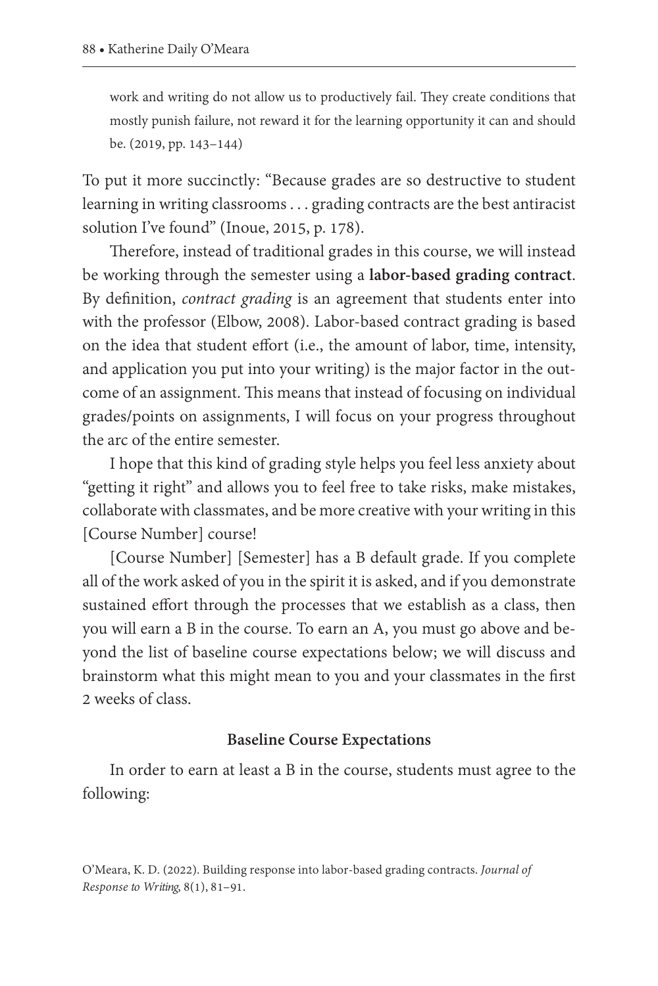work and writing do not allow us to productively fail. They create conditions that mostly punish failure, not reward it for the learning opportunity it can and should be. (2019, pp. 143–144)

To put it more succinctly: "Because grades are so destructive to student learning in writing classrooms . . . grading contracts are the best antiracist solution I've found" (Inoue, 2015, p. 178).

Therefore, instead of traditional grades in this course, we will instead be working through the semester using a **labor-based grading contract**. By definition, *contract grading* is an agreement that students enter into with the professor (Elbow, 2008). Labor-based contract grading is based on the idea that student effort (i.e., the amount of labor, time, intensity, and application you put into your writing) is the major factor in the outcome of an assignment. This means that instead of focusing on individual grades/points on assignments, I will focus on your progress throughout the arc of the entire semester.

I hope that this kind of grading style helps you feel less anxiety about "getting it right" and allows you to feel free to take risks, make mistakes, collaborate with classmates, and be more creative with your writing in this [Course Number] course!

[Course Number] [Semester] has a B default grade. If you complete all of the work asked of you in the spirit it is asked, and if you demonstrate sustained effort through the processes that we establish as a class, then you will earn a B in the course. To earn an A, you must go above and beyond the list of baseline course expectations below; we will discuss and brainstorm what this might mean to you and your classmates in the first 2 weeks of class.

#### **Baseline Course Expectations**

In order to earn at least a B in the course, students must agree to the following: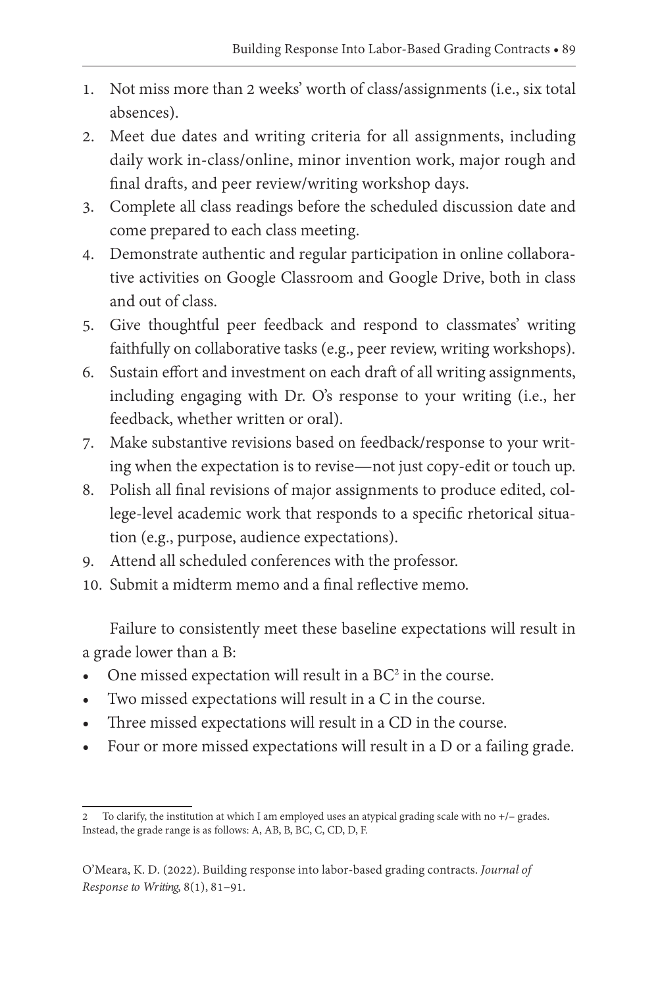- 1. Not miss more than 2 weeks' worth of class/assignments (i.e., six total absences).
- 2. Meet due dates and writing criteria for all assignments, including daily work in-class/online, minor invention work, major rough and final drafts, and peer review/writing workshop days.
- 3. Complete all class readings before the scheduled discussion date and come prepared to each class meeting.
- 4. Demonstrate authentic and regular participation in online collaborative activities on Google Classroom and Google Drive, both in class and out of class.
- 5. Give thoughtful peer feedback and respond to classmates' writing faithfully on collaborative tasks (e.g., peer review, writing workshops).
- 6. Sustain effort and investment on each draft of all writing assignments, including engaging with Dr. O's response to your writing (i.e., her feedback, whether written or oral).
- 7. Make substantive revisions based on feedback/response to your writing when the expectation is to revise—not just copy-edit or touch up.
- 8. Polish all final revisions of major assignments to produce edited, college-level academic work that responds to a specific rhetorical situation (e.g., purpose, audience expectations).
- 9. Attend all scheduled conferences with the professor.
- 10. Submit a midterm memo and a final reflective memo.

Failure to consistently meet these baseline expectations will result in a grade lower than a B:

- One missed expectation will result in a  $BC<sup>2</sup>$  in the course.
- Two missed expectations will result in a C in the course.
- Three missed expectations will result in a CD in the course.
- Four or more missed expectations will result in a D or a failing grade.

<sup>2</sup> To clarify, the institution at which I am employed uses an atypical grading scale with no +/– grades. Instead, the grade range is as follows: A, AB, B, BC, C, CD, D, F.

O'Meara, K. D. (2022). Building response into labor-based grading contracts. *Journal of Response to Writing*, 8(1), 81–91.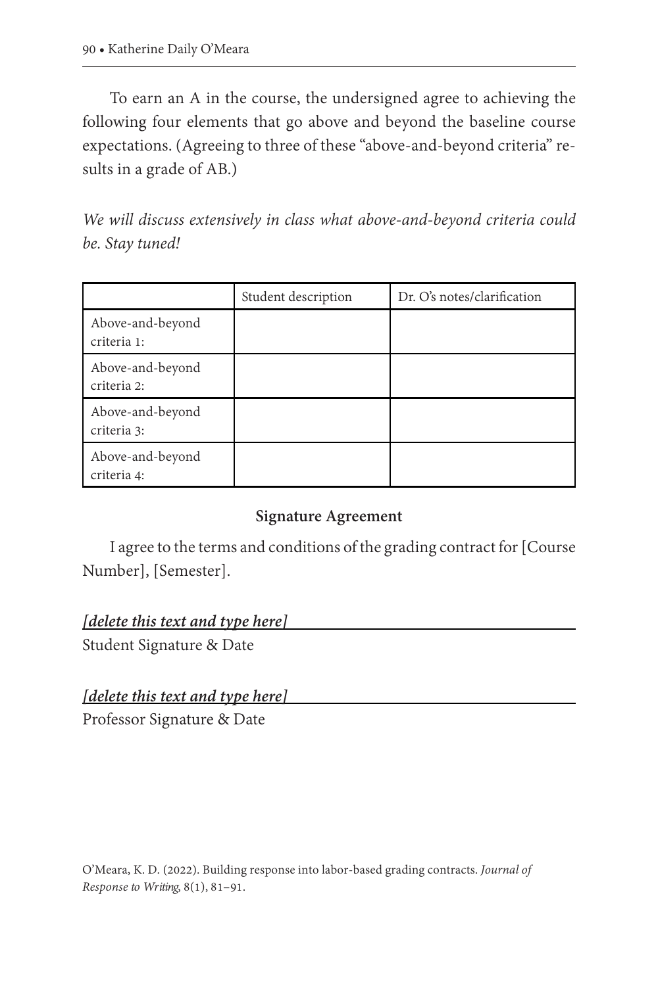To earn an A in the course, the undersigned agree to achieving the following four elements that go above and beyond the baseline course expectations. (Agreeing to three of these "above-and-beyond criteria" results in a grade of AB.)

*We will discuss extensively in class what above-and-beyond criteria could be. Stay tuned!*

|                                 | Student description | Dr. O's notes/clarification |
|---------------------------------|---------------------|-----------------------------|
| Above-and-beyond<br>criteria 1: |                     |                             |
| Above-and-beyond<br>criteria 2: |                     |                             |
| Above-and-beyond<br>criteria 3: |                     |                             |
| Above-and-beyond<br>criteria 4: |                     |                             |

#### **Signature Agreement**

I agree to the terms and conditions of the grading contract for [Course Number], [Semester].

#### *[delete this text and type here]*

Student Signature & Date

#### *[delete this text and type here]*

Professor Signature & Date